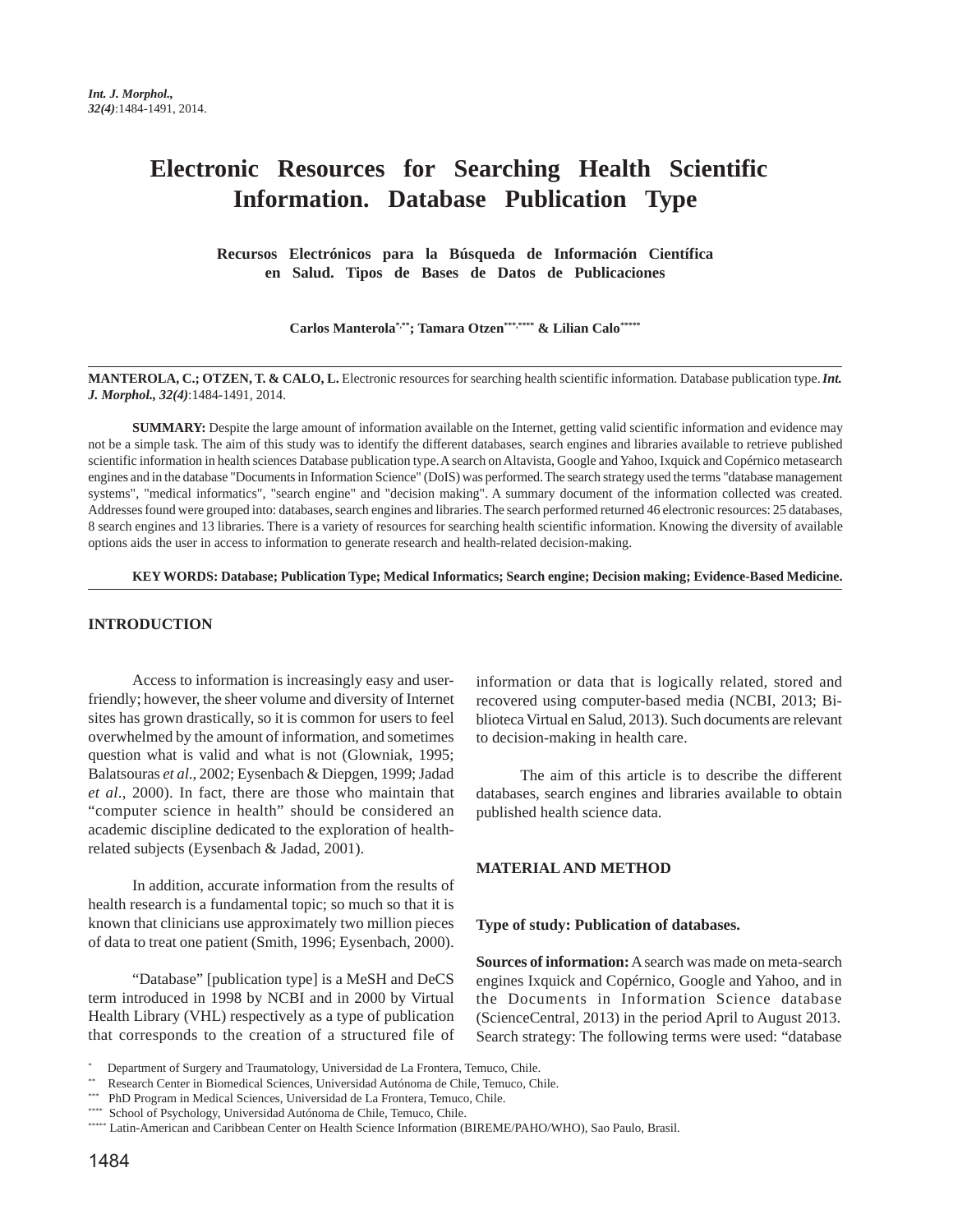# **Electronic Resources for Searching Health Scientific Information. Database Publication Type**

**Recursos Electrónicos para la Búsqueda de Información Científica en Salud. Tipos de Bases de Datos de Publicaciones**

**Carlos Manterola\*,\*\*; Tamara Otzen\*\*\*,\*\*\*\* & Lilian Calo\*\*\*\*\***

**MANTEROLA, C.; OTZEN, T. & CALO, L.** Electronic resources for searching health scientific information. Database publication type. *Int. J. Morphol., 32(4)*:1484-1491, 2014.

**SUMMARY:** Despite the large amount of information available on the Internet, getting valid scientific information and evidence may not be a simple task. The aim of this study was to identify the different databases, search engines and libraries available to retrieve published scientific information in health sciences Database publication type. A search on Altavista, Google and Yahoo, Ixquick and Copérnico metasearch engines and in the database "Documents in Information Science" (DoIS) was performed. The search strategy used the terms "database management systems", "medical informatics", "search engine" and "decision making". A summary document of the information collected was created. Addresses found were grouped into: databases, search engines and libraries. The search performed returned 46 electronic resources: 25 databases, 8 search engines and 13 libraries. There is a variety of resources for searching health scientific information. Knowing the diversity of available options aids the user in access to information to generate research and health-related decision-making.

**KEY WORDS: Database; Publication Type; Medical Informatics; Search engine; Decision making; Evidence-Based Medicine.**

## **INTRODUCTION**

Access to information is increasingly easy and userfriendly; however, the sheer volume and diversity of Internet sites has grown drastically, so it is common for users to feel overwhelmed by the amount of information, and sometimes question what is valid and what is not (Glowniak, 1995; Balatsouras *et al*., 2002; Eysenbach & Diepgen, 1999; Jadad *et al*., 2000). In fact, there are those who maintain that "computer science in health" should be considered an academic discipline dedicated to the exploration of healthrelated subjects (Eysenbach & Jadad, 2001).

In addition, accurate information from the results of health research is a fundamental topic; so much so that it is known that clinicians use approximately two million pieces of data to treat one patient (Smith, 1996; Eysenbach, 2000).

"Database" [publication type] is a MeSH and DeCS term introduced in 1998 by NCBI and in 2000 by Virtual Health Library (VHL) respectively as a type of publication that corresponds to the creation of a structured file of information or data that is logically related, stored and recovered using computer-based media (NCBI, 2013; Biblioteca Virtual en Salud, 2013). Such documents are relevant to decision-making in health care.

The aim of this article is to describe the different databases, search engines and libraries available to obtain published health science data.

### **MATERIAL AND METHOD**

#### **Type of study: Publication of databases.**

**Sources of information:** A search was made on meta-search engines Ixquick and Copérnico, Google and Yahoo, and in the Documents in Information Science database (ScienceCentral, 2013) in the period April to August 2013. Search strategy: The following terms were used: "database

<sup>\*</sup> Department of Surgery and Traumatology, Universidad de La Frontera, Temuco, Chile.

<sup>\*\*</sup> Research Center in Biomedical Sciences, Universidad Autónoma de Chile, Temuco, Chile.

<sup>\*\*\*</sup> PhD Program in Medical Sciences, Universidad de La Frontera, Temuco, Chile.

<sup>\*\*\*\*</sup> School of Psychology, Universidad Autónoma de Chile, Temuco, Chile.

<sup>\*\*\*\*\*</sup> Latin-American and Caribbean Center on Health Science Information (BIREME/PAHO/WHO), Sao Paulo, Brasil.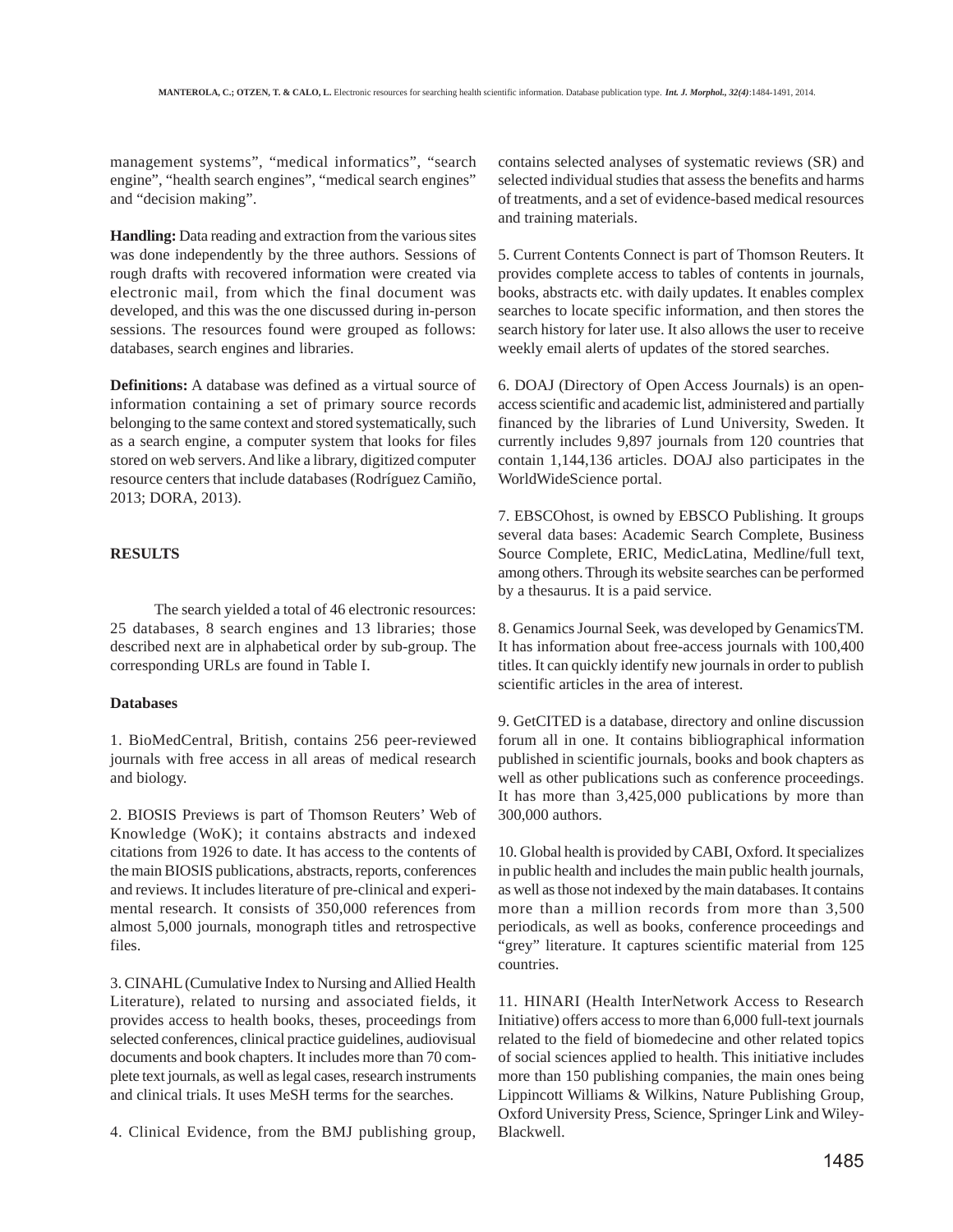management systems", "medical informatics", "search engine", "health search engines", "medical search engines" and "decision making".

**Handling:** Data reading and extraction from the various sites was done independently by the three authors. Sessions of rough drafts with recovered information were created via electronic mail, from which the final document was developed, and this was the one discussed during in-person sessions. The resources found were grouped as follows: databases, search engines and libraries.

**Definitions:** A database was defined as a virtual source of information containing a set of primary source records belonging to the same context and stored systematically, such as a search engine, a computer system that looks for files stored on web servers. And like a library, digitized computer resource centers that include databases (Rodríguez Camiño, 2013; DORA, 2013).

### **RESULTS**

The search yielded a total of 46 electronic resources: 25 databases, 8 search engines and 13 libraries; those described next are in alphabetical order by sub-group. The corresponding URLs are found in Table I.

## **Databases**

1. BioMedCentral, British, contains 256 peer-reviewed journals with free access in all areas of medical research and biology.

2. BIOSIS Previews is part of Thomson Reuters' Web of Knowledge (WoK); it contains abstracts and indexed citations from 1926 to date. It has access to the contents of the main BIOSIS publications, abstracts, reports, conferences and reviews. It includes literature of pre-clinical and experimental research. It consists of 350,000 references from almost 5,000 journals, monograph titles and retrospective files.

3. CINAHL (Cumulative Index to Nursing and Allied Health Literature), related to nursing and associated fields, it provides access to health books, theses, proceedings from selected conferences, clinical practice guidelines, audiovisual documents and book chapters. It includes more than 70 complete text journals, as well as legal cases, research instruments and clinical trials. It uses MeSH terms for the searches.

4. Clinical Evidence, from the BMJ publishing group,

contains selected analyses of systematic reviews (SR) and selected individual studies that assess the benefits and harms of treatments, and a set of evidence-based medical resources and training materials.

5. Current Contents Connect is part of Thomson Reuters. It provides complete access to tables of contents in journals, books, abstracts etc. with daily updates. It enables complex searches to locate specific information, and then stores the search history for later use. It also allows the user to receive weekly email alerts of updates of the stored searches.

6. DOAJ (Directory of Open Access Journals) is an openaccess scientific and academic list, administered and partially financed by the libraries of Lund University, Sweden. It currently includes 9,897 journals from 120 countries that contain 1,144,136 articles. DOAJ also participates in the WorldWideScience portal.

7. EBSCOhost, is owned by EBSCO Publishing. It groups several data bases: Academic Search Complete, Business Source Complete, ERIC, MedicLatina, Medline/full text, among others. Through its website searches can be performed by a thesaurus. It is a paid service.

8. Genamics Journal Seek, was developed by GenamicsTM. It has information about free-access journals with 100,400 titles. It can quickly identify new journals in order to publish scientific articles in the area of interest.

9. GetCITED is a database, directory and online discussion forum all in one. It contains bibliographical information published in scientific journals, books and book chapters as well as other publications such as conference proceedings. It has more than 3,425,000 publications by more than 300,000 authors.

10. Global health is provided by CABI, Oxford. It specializes in public health and includes the main public health journals, as well as those not indexed by the main databases. It contains more than a million records from more than 3,500 periodicals, as well as books, conference proceedings and "grey" literature. It captures scientific material from 125 countries.

11. HINARI (Health InterNetwork Access to Research Initiative) offers access to more than 6,000 full-text journals related to the field of biomedecine and other related topics of social sciences applied to health. This initiative includes more than 150 publishing companies, the main ones being Lippincott Williams & Wilkins, Nature Publishing Group, Oxford University Press, Science, Springer Link and Wiley-Blackwell.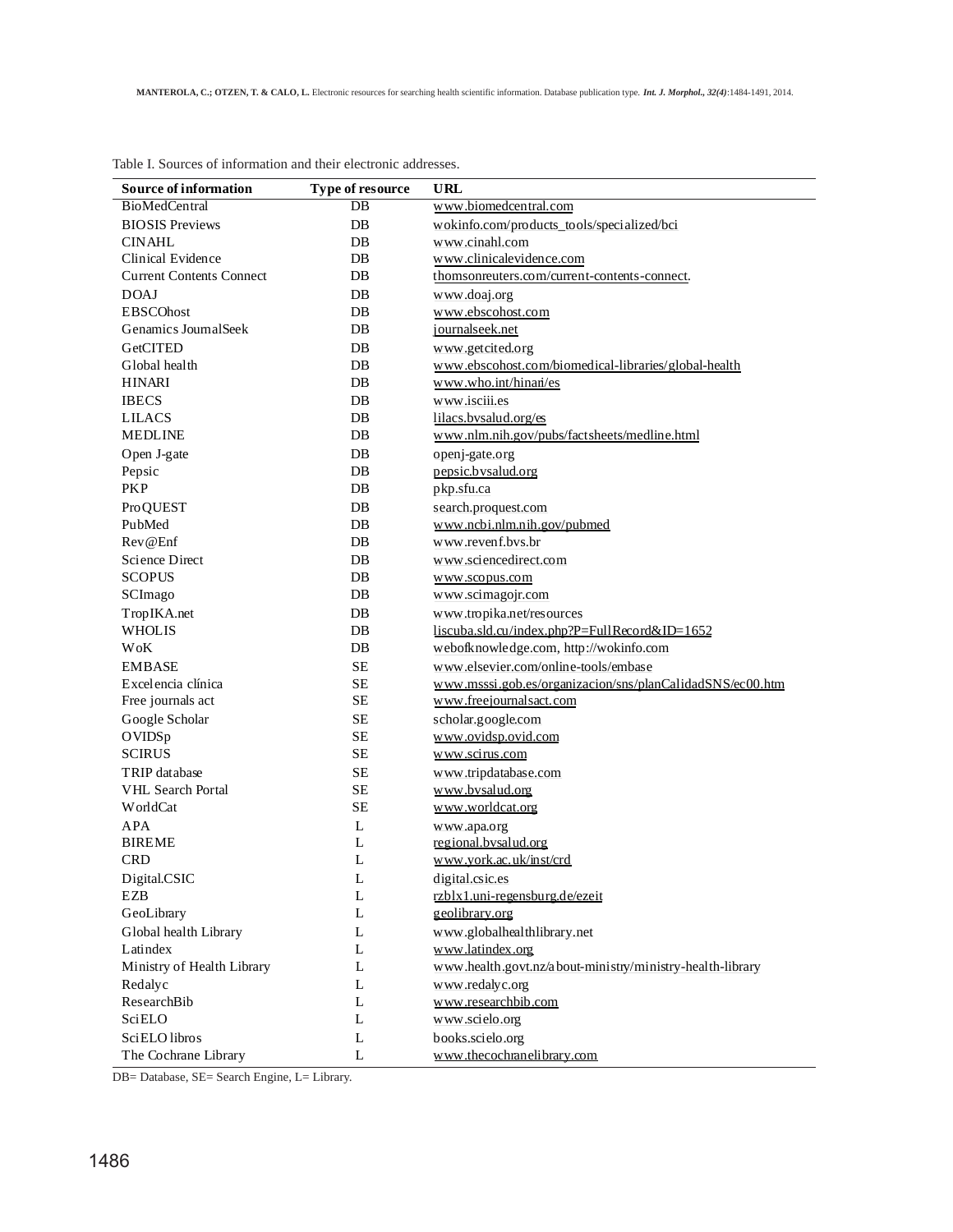| <b>Source of information</b>    | Type of resource | URL                                                       |
|---------------------------------|------------------|-----------------------------------------------------------|
| <b>BioMedCentral</b>            | $DB$             | www.biomedcentral.com                                     |
| <b>BIOSIS Previews</b>          | $DB$             | wokinfo.com/products_tools/specialized/bci                |
| <b>CINAHL</b>                   | DB               | www.cinahl.com                                            |
| Clinical Evidence               | DB               | www.clinicalevidence.com                                  |
| <b>Current Contents Connect</b> | DB               | thomsonreuters.com/current-contents-connect.              |
| <b>DOAJ</b>                     | DB               | www.doaj.org                                              |
| <b>EBSCOhost</b>                | DB               | www.ebscohost.com                                         |
| Genamics JournalSeek            | $DB$             | journalseek.net                                           |
| <b>GetCITED</b>                 | DB               | www.getcited.org                                          |
| Global health                   | $DB$             | www.ebscohost.com/biomedical-libraries/global-health      |
| <b>HINARI</b>                   | DB               | www.who.int/hinan/es                                      |
| <b>IBECS</b>                    | DB               | www.isciii.es                                             |
| <b>LILACS</b>                   | DB               | lilacs.bvsalud.org/es                                     |
| <b>MEDLINE</b>                  | $DB$             | www.nlm.nih.gov/pubs/factsheets/medline.html              |
| Open J-gate                     | DB               | openj-gate.org                                            |
| Pepsic                          | DB               | pepsic.bysalud.org                                        |
| <b>PKP</b>                      | DB               | pkp.sfu.ca                                                |
| <b>ProQUEST</b>                 | DB               | search.proquest.com                                       |
| PubMed                          | $DB$             | www.ncbi.nlm.nih.gov/pubmed                               |
| Rev@Enf                         | DB               | www.revenf.bvs.br                                         |
| Science Direct                  | DB               | www.sciencedirect.com                                     |
| <b>SCOPUS</b>                   | DB               | www.scopus.com                                            |
| SCImago                         | DB               | www.scimagojr.com                                         |
| TropIKA.net                     | DB               | www.tropika.net/resources                                 |
| <b>WHOLIS</b>                   | DB               | liscuba.sld.cu/index.php?P=FullRecord&ID=1652             |
| WoK                             | $DB$             | webofknowledge.com, http://wokinfo.com                    |
| <b>EMBASE</b>                   | <b>SE</b>        | www.elsevier.com/online-tools/embase                      |
| Excelencia clínica              | <b>SE</b>        | www.msssi.gob.es/organizacion/sns/planCalidadSNS/ec00.htm |
| Free journals act               | <b>SE</b>        | www.freejournalsact.com                                   |
| Google Scholar                  | <b>SE</b>        | scholar.google.com                                        |
| OVIDSp                          | <b>SE</b>        | www.ovidsp.ovid.com                                       |
| <b>SCIRUS</b>                   | <b>SE</b>        | www.scirus.com                                            |
| TRIP database                   | <b>SE</b>        | www.tripdatabase.com                                      |
| VHL Search Portal               | <b>SE</b>        | www.bysalud.org                                           |
| WorldCat                        | SЕ               | www.worldcat.org                                          |
| <b>APA</b>                      | L                | www.apa.org                                               |
| <b>BIREME</b>                   | L                | regional.bvsalud.org                                      |
| <b>CRD</b>                      | L                | www.york.ac.uk/inst/crd                                   |
| Digital.CSIC                    | $\mathbf L$      | digital.csic.es                                           |
| <b>EZB</b>                      | L                | rzblx1.uni-regensburg.de/ezeit                            |
| GeoLibrary                      | L                | geolibrary.org                                            |
| Global health Library           | L                | www.globalhealthlibrary.net                               |
| Latindex                        | L                | www.latindex.org                                          |
| Ministry of Health Library      | L                | www.health.govt.nz/about-ministry/ministry-health-library |
| Redalyc                         | L                | www.redalyc.org                                           |
| ResearchBib                     | L                | www.researchbib.com                                       |
| <b>SciELO</b>                   | L                | www.scielo.org                                            |
| SciELO libros                   | L                | books.scielo.org                                          |
| The Cochrane Library            | L                | www.thecochranelibrary.com                                |

Table I. Sources of information and their electronic addresses.

DB= Database, SE= Search Engine, L= Library.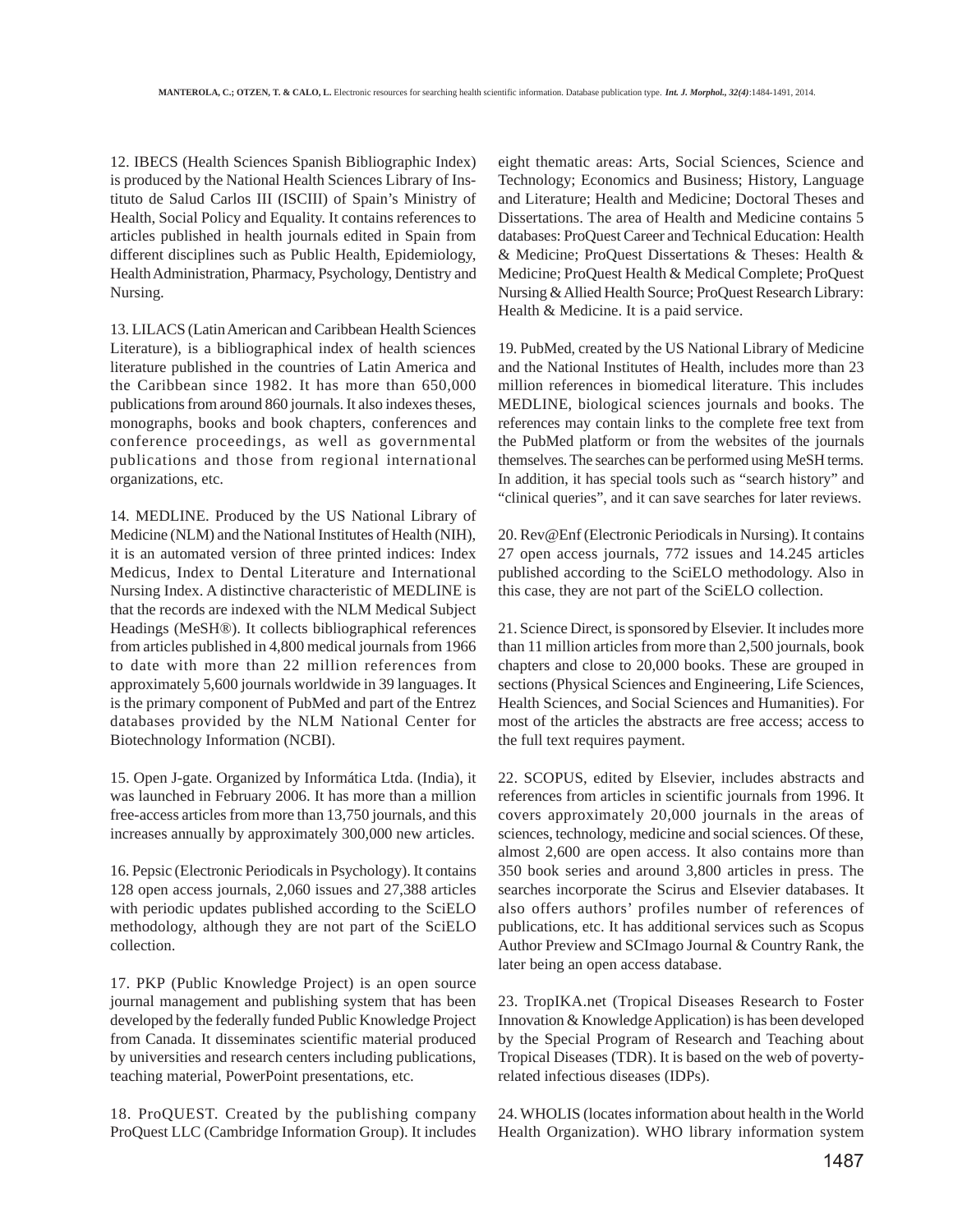12. IBECS (Health Sciences Spanish Bibliographic Index) is produced by the National Health Sciences Library of Instituto de Salud Carlos III (ISCIII) of Spain's Ministry of Health, Social Policy and Equality. It contains references to articles published in health journals edited in Spain from different disciplines such as Public Health, Epidemiology, Health Administration, Pharmacy, Psychology, Dentistry and Nursing.

13. LILACS (Latin American and Caribbean Health Sciences Literature), is a bibliographical index of health sciences literature published in the countries of Latin America and the Caribbean since 1982. It has more than 650,000 publications from around 860 journals. It also indexes theses, monographs, books and book chapters, conferences and conference proceedings, as well as governmental publications and those from regional international organizations, etc.

14. MEDLINE. Produced by the US National Library of Medicine (NLM) and the National Institutes of Health (NIH), it is an automated version of three printed indices: Index Medicus, Index to Dental Literature and International Nursing Index. A distinctive characteristic of MEDLINE is that the records are indexed with the NLM Medical Subject Headings (MeSH®). It collects bibliographical references from articles published in 4,800 medical journals from 1966 to date with more than 22 million references from approximately 5,600 journals worldwide in 39 languages. It is the primary component of PubMed and part of the Entrez databases provided by the NLM National Center for Biotechnology Information (NCBI).

15. Open J-gate. Organized by Informática Ltda. (India), it was launched in February 2006. It has more than a million free-access articles from more than 13,750 journals, and this increases annually by approximately 300,000 new articles.

16. Pepsic (Electronic Periodicals in Psychology). It contains 128 open access journals, 2,060 issues and 27,388 articles with periodic updates published according to the SciELO methodology, although they are not part of the SciELO collection.

17. PKP (Public Knowledge Project) is an open source journal management and publishing system that has been developed by the federally funded Public Knowledge Project from Canada. It disseminates scientific material produced by universities and research centers including publications, teaching material, PowerPoint presentations, etc.

18. ProQUEST. Created by the publishing company ProQuest LLC (Cambridge Information Group). It includes eight thematic areas: Arts, Social Sciences, Science and Technology; Economics and Business; History, Language and Literature; Health and Medicine; Doctoral Theses and Dissertations. The area of Health and Medicine contains 5 databases: ProQuest Career and Technical Education: Health & Medicine; ProQuest Dissertations & Theses: Health & Medicine; ProQuest Health & Medical Complete; ProQuest Nursing & Allied Health Source; ProQuest Research Library: Health & Medicine. It is a paid service.

19. PubMed, created by the US National Library of Medicine and the National Institutes of Health, includes more than 23 million references in biomedical literature. This includes MEDLINE, biological sciences journals and books. The references may contain links to the complete free text from the PubMed platform or from the websites of the journals themselves. The searches can be performed using MeSH terms. In addition, it has special tools such as "search history" and "clinical queries", and it can save searches for later reviews.

20. Rev@Enf (Electronic Periodicals in Nursing). It contains 27 open access journals, 772 issues and 14.245 articles published according to the SciELO methodology. Also in this case, they are not part of the SciELO collection.

21. Science Direct, is sponsored by Elsevier. It includes more than 11 million articles from more than 2,500 journals, book chapters and close to 20,000 books. These are grouped in sections (Physical Sciences and Engineering, Life Sciences, Health Sciences, and Social Sciences and Humanities). For most of the articles the abstracts are free access; access to the full text requires payment.

22. SCOPUS, edited by Elsevier, includes abstracts and references from articles in scientific journals from 1996. It covers approximately 20,000 journals in the areas of sciences, technology, medicine and social sciences. Of these, almost 2,600 are open access. It also contains more than 350 book series and around 3,800 articles in press. The searches incorporate the Scirus and Elsevier databases. It also offers authors' profiles number of references of publications, etc. It has additional services such as Scopus Author Preview and SCImago Journal & Country Rank, the later being an open access database.

23. TropIKA.net (Tropical Diseases Research to Foster Innovation & Knowledge Application) is has been developed by the Special Program of Research and Teaching about Tropical Diseases (TDR). It is based on the web of povertyrelated infectious diseases (IDPs).

24. WHOLIS (locates information about health in the World Health Organization). WHO library information system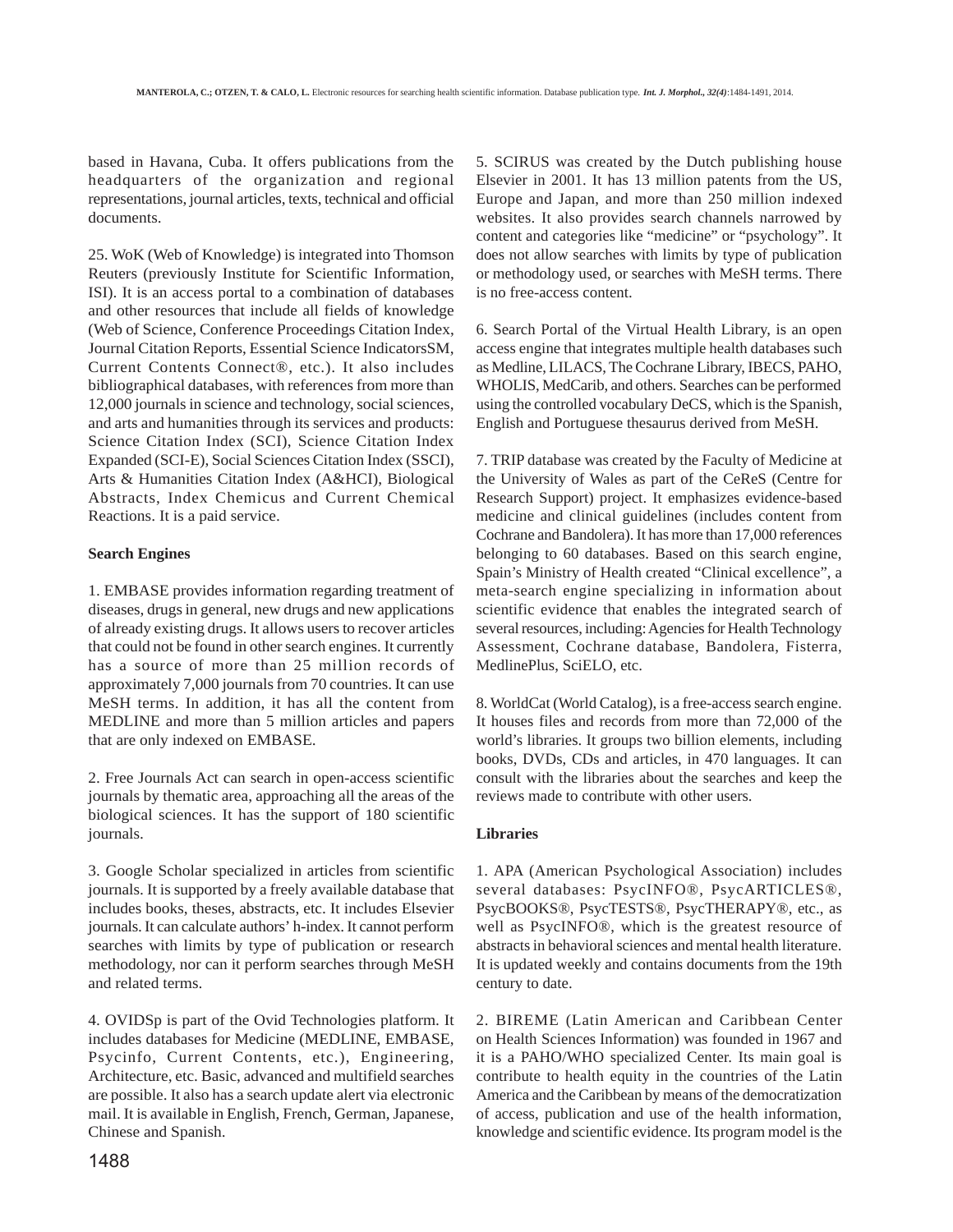based in Havana, Cuba. It offers publications from the headquarters of the organization and regional representations, journal articles, texts, technical and official documents.

25. WoK (Web of Knowledge) is integrated into Thomson Reuters (previously Institute for Scientific Information, ISI). It is an access portal to a combination of databases and other resources that include all fields of knowledge (Web of Science, Conference Proceedings Citation Index, Journal Citation Reports, Essential Science IndicatorsSM, Current Contents Connect®, etc.). It also includes bibliographical databases, with references from more than 12,000 journals in science and technology, social sciences, and arts and humanities through its services and products: Science Citation Index (SCI), Science Citation Index Expanded (SCI-E), Social Sciences Citation Index (SSCI), Arts & Humanities Citation Index (A&HCI), Biological Abstracts, Index Chemicus and Current Chemical Reactions. It is a paid service.

## **Search Engines**

1. EMBASE provides information regarding treatment of diseases, drugs in general, new drugs and new applications of already existing drugs. It allows users to recover articles that could not be found in other search engines. It currently has a source of more than 25 million records of approximately 7,000 journals from 70 countries. It can use MeSH terms. In addition, it has all the content from MEDLINE and more than 5 million articles and papers that are only indexed on EMBASE.

2. Free Journals Act can search in open-access scientific journals by thematic area, approaching all the areas of the biological sciences. It has the support of 180 scientific journals.

3. Google Scholar specialized in articles from scientific journals. It is supported by a freely available database that includes books, theses, abstracts, etc. It includes Elsevier journals. It can calculate authors' h-index. It cannot perform searches with limits by type of publication or research methodology, nor can it perform searches through MeSH and related terms.

4. OVIDSp is part of the Ovid Technologies platform. It includes databases for Medicine (MEDLINE, EMBASE, Psycinfo, Current Contents, etc.), Engineering, Architecture, etc. Basic, advanced and multifield searches are possible. It also has a search update alert via electronic mail. It is available in English, French, German, Japanese, Chinese and Spanish.

5. SCIRUS was created by the Dutch publishing house Elsevier in 2001. It has 13 million patents from the US, Europe and Japan, and more than 250 million indexed websites. It also provides search channels narrowed by content and categories like "medicine" or "psychology". It does not allow searches with limits by type of publication or methodology used, or searches with MeSH terms. There is no free-access content.

6. Search Portal of the Virtual Health Library, is an open access engine that integrates multiple health databases such as Medline, LILACS, The Cochrane Library, IBECS, PAHO, WHOLIS, MedCarib, and others. Searches can be performed using the controlled vocabulary DeCS, which is the Spanish, English and Portuguese thesaurus derived from MeSH.

7. TRIP database was created by the Faculty of Medicine at the University of Wales as part of the CeReS (Centre for Research Support) project. It emphasizes evidence-based medicine and clinical guidelines (includes content from Cochrane and Bandolera). It has more than 17,000 references belonging to 60 databases. Based on this search engine, Spain's Ministry of Health created "Clinical excellence", a meta-search engine specializing in information about scientific evidence that enables the integrated search of several resources, including: Agencies for Health Technology Assessment, Cochrane database, Bandolera, Fisterra, MedlinePlus, SciELO, etc.

8. WorldCat (World Catalog), is a free-access search engine. It houses files and records from more than 72,000 of the world's libraries. It groups two billion elements, including books, DVDs, CDs and articles, in 470 languages. It can consult with the libraries about the searches and keep the reviews made to contribute with other users.

## **Libraries**

1. APA (American Psychological Association) includes several databases: PsycINFO®, PsycARTICLES®, PsycBOOKS®, PsycTESTS®, PsycTHERAPY®, etc., as well as PsycINFO®, which is the greatest resource of abstracts in behavioral sciences and mental health literature. It is updated weekly and contains documents from the 19th century to date.

2. BIREME (Latin American and Caribbean Center on Health Sciences Information) was founded in 1967 and it is a PAHO/WHO specialized Center. Its main goal is contribute to health equity in the countries of the Latin America and the Caribbean by means of the democratization of access, publication and use of the health information, knowledge and scientific evidence. Its program model is the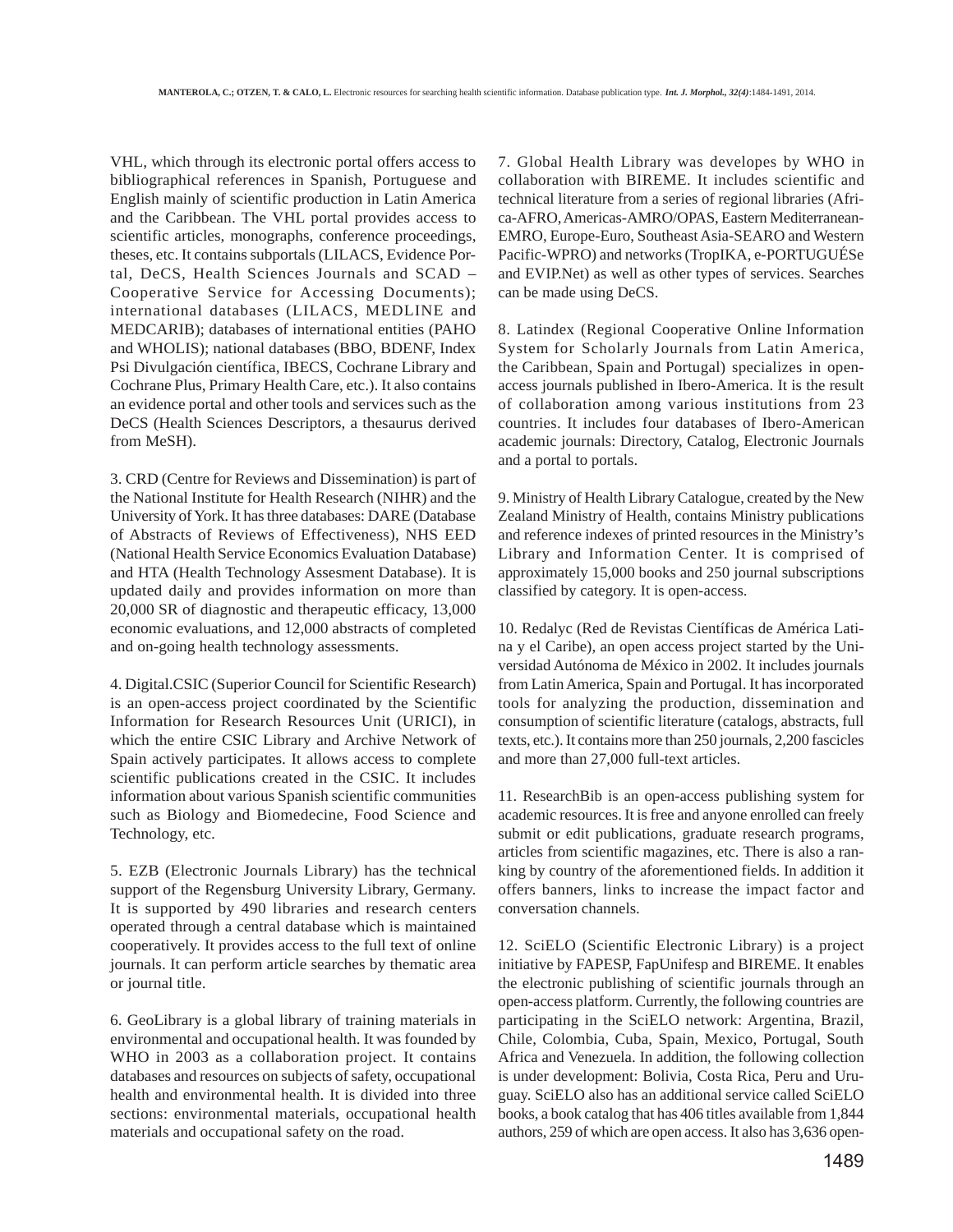VHL, which through its electronic portal offers access to bibliographical references in Spanish, Portuguese and English mainly of scientific production in Latin America and the Caribbean. The VHL portal provides access to scientific articles, monographs, conference proceedings, theses, etc. It contains subportals (LILACS, Evidence Portal, DeCS, Health Sciences Journals and SCAD – Cooperative Service for Accessing Documents); international databases (LILACS, MEDLINE and MEDCARIB); databases of international entities (PAHO and WHOLIS); national databases (BBO, BDENF, Index Psi Divulgación científica, IBECS, Cochrane Library and Cochrane Plus, Primary Health Care, etc.). It also contains an evidence portal and other tools and services such as the DeCS (Health Sciences Descriptors, a thesaurus derived from MeSH).

3. CRD (Centre for Reviews and Dissemination) is part of the National Institute for Health Research (NIHR) and the University of York. It has three databases: DARE (Database of Abstracts of Reviews of Effectiveness), NHS EED (National Health Service Economics Evaluation Database) and HTA (Health Technology Assesment Database). It is updated daily and provides information on more than 20,000 SR of diagnostic and therapeutic efficacy, 13,000 economic evaluations, and 12,000 abstracts of completed and on-going health technology assessments.

4. Digital.CSIC (Superior Council for Scientific Research) is an open-access project coordinated by the Scientific Information for Research Resources Unit (URICI), in which the entire CSIC Library and Archive Network of Spain actively participates. It allows access to complete scientific publications created in the CSIC. It includes information about various Spanish scientific communities such as Biology and Biomedecine, Food Science and Technology, etc.

5. EZB (Electronic Journals Library) has the technical support of the Regensburg University Library, Germany. It is supported by 490 libraries and research centers operated through a central database which is maintained cooperatively. It provides access to the full text of online journals. It can perform article searches by thematic area or journal title.

6. GeoLibrary is a global library of training materials in environmental and occupational health. It was founded by WHO in 2003 as a collaboration project. It contains databases and resources on subjects of safety, occupational health and environmental health. It is divided into three sections: environmental materials, occupational health materials and occupational safety on the road.

7. Global Health Library was developes by WHO in collaboration with BIREME. It includes scientific and technical literature from a series of regional libraries (Africa-AFRO, Americas-AMRO/OPAS, Eastern Mediterranean-EMRO, Europe-Euro, Southeast Asia-SEARO and Western Pacific-WPRO) and networks (TropIKA, e-PORTUGUÉSe and EVIP.Net) as well as other types of services. Searches can be made using DeCS.

8. Latindex (Regional Cooperative Online Information System for Scholarly Journals from Latin America, the Caribbean, Spain and Portugal) specializes in openaccess journals published in Ibero-America. It is the result of collaboration among various institutions from 23 countries. It includes four databases of Ibero-American academic journals: Directory, Catalog, Electronic Journals and a portal to portals.

9. Ministry of Health Library Catalogue, created by the New Zealand Ministry of Health, contains Ministry publications and reference indexes of printed resources in the Ministry's Library and Information Center. It is comprised of approximately 15,000 books and 250 journal subscriptions classified by category. It is open-access.

10. Redalyc (Red de Revistas Científicas de América Latina y el Caribe), an open access project started by the Universidad Autónoma de México in 2002. It includes journals from Latin America, Spain and Portugal. It has incorporated tools for analyzing the production, dissemination and consumption of scientific literature (catalogs, abstracts, full texts, etc.). It contains more than 250 journals, 2,200 fascicles and more than 27,000 full-text articles.

11. ResearchBib is an open-access publishing system for academic resources. It is free and anyone enrolled can freely submit or edit publications, graduate research programs, articles from scientific magazines, etc. There is also a ranking by country of the aforementioned fields. In addition it offers banners, links to increase the impact factor and conversation channels.

12. SciELO (Scientific Electronic Library) is a project initiative by FAPESP, FapUnifesp and BIREME. It enables the electronic publishing of scientific journals through an open-access platform. Currently, the following countries are participating in the SciELO network: Argentina, Brazil, Chile, Colombia, Cuba, Spain, Mexico, Portugal, South Africa and Venezuela. In addition, the following collection is under development: Bolivia, Costa Rica, Peru and Uruguay. SciELO also has an additional service called SciELO books, a book catalog that has 406 titles available from 1,844 authors, 259 of which are open access. It also has 3,636 open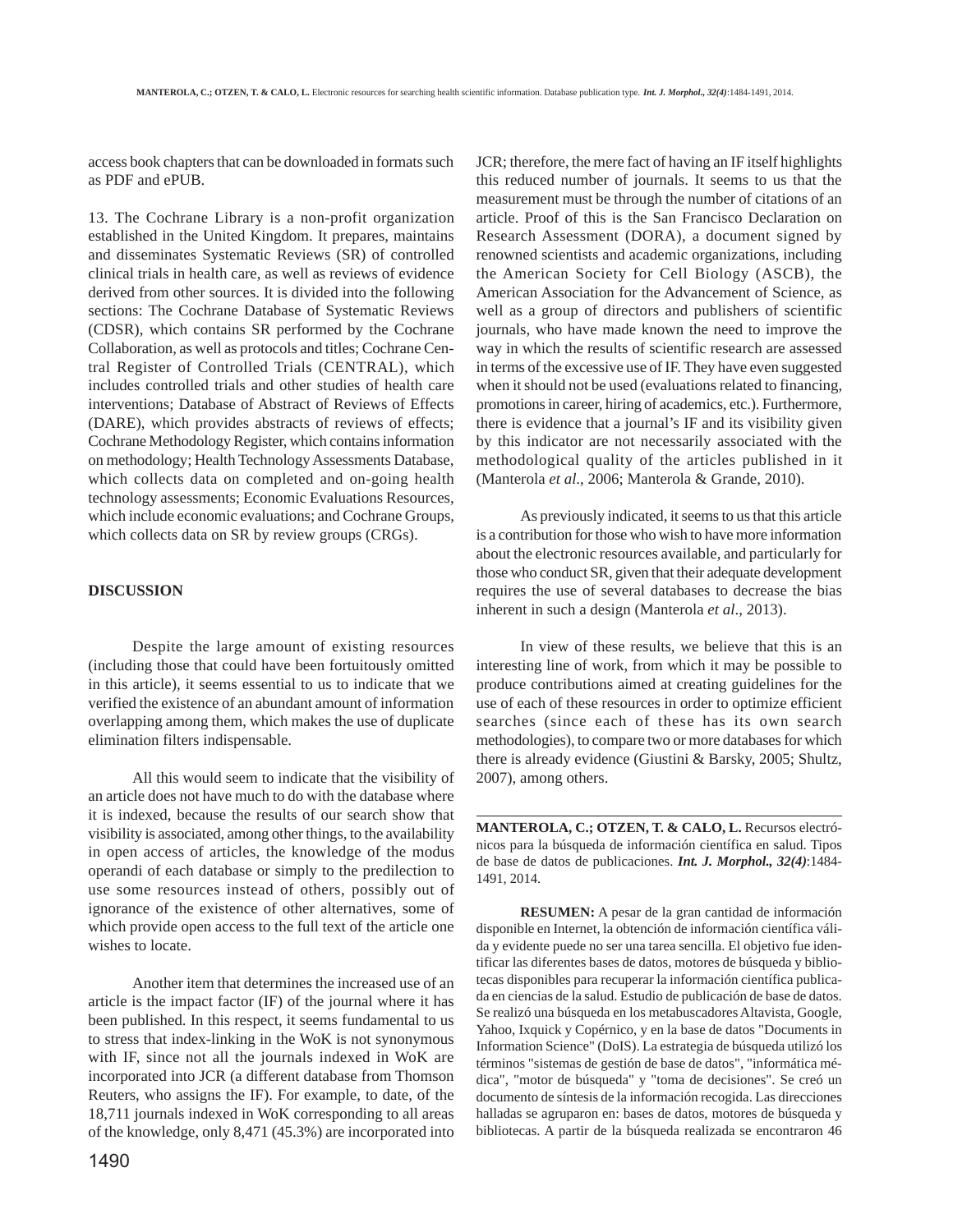access book chapters that can be downloaded in formats such as PDF and ePUB.

13. The Cochrane Library is a non-profit organization established in the United Kingdom. It prepares, maintains and disseminates Systematic Reviews (SR) of controlled clinical trials in health care, as well as reviews of evidence derived from other sources. It is divided into the following sections: The Cochrane Database of Systematic Reviews (CDSR), which contains SR performed by the Cochrane Collaboration, as well as protocols and titles; Cochrane Central Register of Controlled Trials (CENTRAL), which includes controlled trials and other studies of health care interventions; Database of Abstract of Reviews of Effects (DARE), which provides abstracts of reviews of effects; Cochrane Methodology Register, which contains information on methodology; Health Technology Assessments Database, which collects data on completed and on-going health technology assessments; Economic Evaluations Resources, which include economic evaluations; and Cochrane Groups, which collects data on SR by review groups (CRGs).

#### **DISCUSSION**

Despite the large amount of existing resources (including those that could have been fortuitously omitted in this article), it seems essential to us to indicate that we verified the existence of an abundant amount of information overlapping among them, which makes the use of duplicate elimination filters indispensable.

All this would seem to indicate that the visibility of an article does not have much to do with the database where it is indexed, because the results of our search show that visibility is associated, among other things, to the availability in open access of articles, the knowledge of the modus operandi of each database or simply to the predilection to use some resources instead of others, possibly out of ignorance of the existence of other alternatives, some of which provide open access to the full text of the article one wishes to locate.

Another item that determines the increased use of an article is the impact factor (IF) of the journal where it has been published. In this respect, it seems fundamental to us to stress that index-linking in the WoK is not synonymous with IF, since not all the journals indexed in WoK are incorporated into JCR (a different database from Thomson Reuters, who assigns the IF). For example, to date, of the 18,711 journals indexed in WoK corresponding to all areas of the knowledge, only 8,471 (45.3%) are incorporated into JCR; therefore, the mere fact of having an IF itself highlights this reduced number of journals. It seems to us that the measurement must be through the number of citations of an article. Proof of this is the San Francisco Declaration on Research Assessment (DORA), a document signed by renowned scientists and academic organizations, including the American Society for Cell Biology (ASCB), the American Association for the Advancement of Science, as well as a group of directors and publishers of scientific journals, who have made known the need to improve the way in which the results of scientific research are assessed in terms of the excessive use of IF. They have even suggested when it should not be used (evaluations related to financing, promotions in career, hiring of academics, etc.). Furthermore, there is evidence that a journal's IF and its visibility given by this indicator are not necessarily associated with the methodological quality of the articles published in it (Manterola *et al*., 2006; Manterola & Grande, 2010).

As previously indicated, it seems to us that this article is a contribution for those who wish to have more information about the electronic resources available, and particularly for those who conduct SR, given that their adequate development requires the use of several databases to decrease the bias inherent in such a design (Manterola *et al*., 2013).

In view of these results, we believe that this is an interesting line of work, from which it may be possible to produce contributions aimed at creating guidelines for the use of each of these resources in order to optimize efficient searches (since each of these has its own search methodologies), to compare two or more databases for which there is already evidence (Giustini & Barsky, 2005; Shultz, 2007), among others.

**MANTEROLA, C.; OTZEN, T. & CALO, L.** Recursos electrónicos para la búsqueda de información científica en salud. Tipos de base de datos de publicaciones. *Int. J. Morphol., 32(4)*:1484- 1491, 2014.

**RESUMEN:** A pesar de la gran cantidad de información disponible en Internet, la obtención de información científica válida y evidente puede no ser una tarea sencilla. El objetivo fue identificar las diferentes bases de datos, motores de búsqueda y bibliotecas disponibles para recuperar la información científica publicada en ciencias de la salud. Estudio de publicación de base de datos. Se realizó una búsqueda en los metabuscadores Altavista, Google, Yahoo, Ixquick y Copérnico, y en la base de datos "Documents in Information Science" (DoIS). La estrategia de búsqueda utilizó los términos "sistemas de gestión de base de datos", "informática médica", "motor de búsqueda" y "toma de decisiones". Se creó un documento de síntesis de la información recogida. Las direcciones halladas se agruparon en: bases de datos, motores de búsqueda y bibliotecas. A partir de la búsqueda realizada se encontraron 46